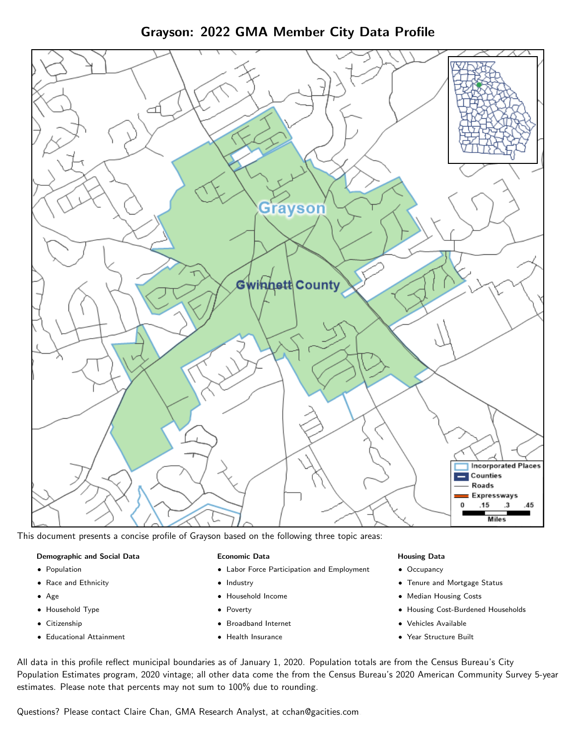Grayson: 2022 GMA Member City Data Profile



This document presents a concise profile of Grayson based on the following three topic areas:

#### Demographic and Social Data

- **•** Population
- Race and Ethnicity
- Age
- Household Type
- **Citizenship**
- Educational Attainment

### Economic Data

- Labor Force Participation and Employment
- Industry
- Household Income
- Poverty
- Broadband Internet
- Health Insurance

### Housing Data

- Occupancy
- Tenure and Mortgage Status
- Median Housing Costs
- Housing Cost-Burdened Households
- Vehicles Available
- Year Structure Built

All data in this profile reflect municipal boundaries as of January 1, 2020. Population totals are from the Census Bureau's City Population Estimates program, 2020 vintage; all other data come the from the Census Bureau's 2020 American Community Survey 5-year estimates. Please note that percents may not sum to 100% due to rounding.

Questions? Please contact Claire Chan, GMA Research Analyst, at [cchan@gacities.com.](mailto:cchan@gacities.com)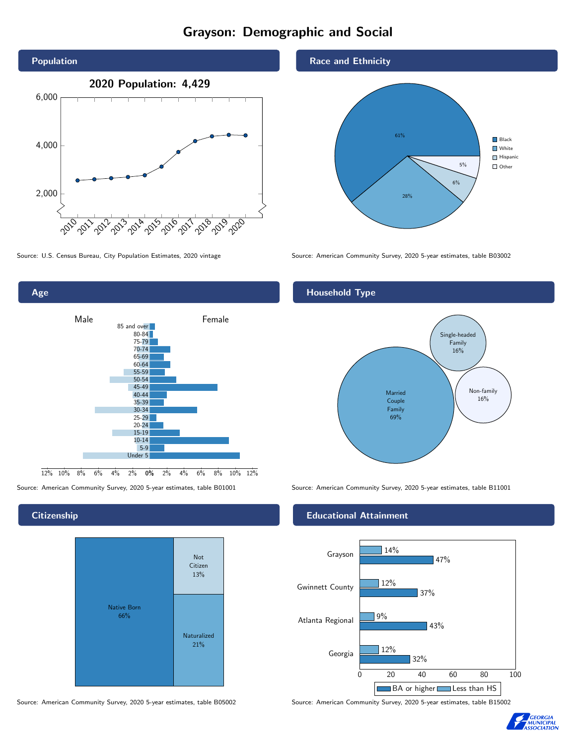# Grayson: Demographic and Social





### **Citizenship**

Age



Source: American Community Survey, 2020 5-year estimates, table B05002 Source: American Community Survey, 2020 5-year estimates, table B15002





Source: U.S. Census Bureau, City Population Estimates, 2020 vintage Source: American Community Survey, 2020 5-year estimates, table B03002

## Household Type



Source: American Community Survey, 2020 5-year estimates, table B01001 Source: American Community Survey, 2020 5-year estimates, table B11001

### Educational Attainment



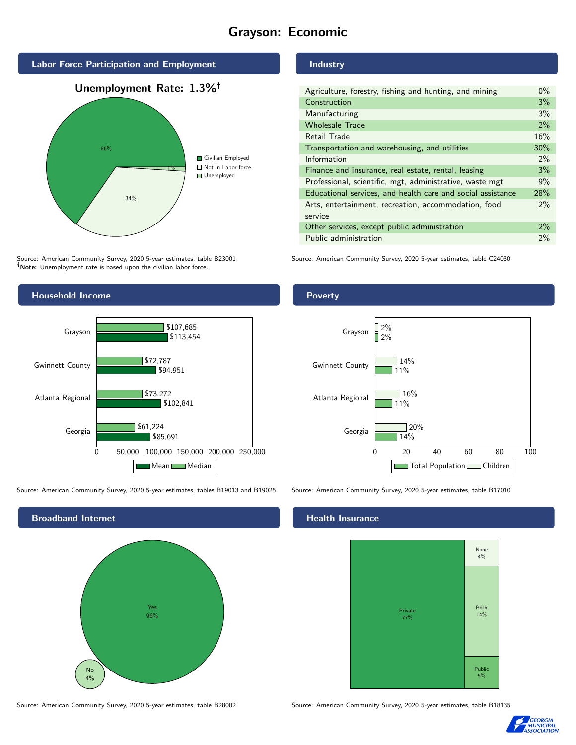## Grayson: Economic



Source: American Community Survey, 2020 5-year estimates, table B23001 Note: Unemployment rate is based upon the civilian labor force.



Source: American Community Survey, 2020 5-year estimates, tables B19013 and B19025 Source: American Community Survey, 2020 5-year estimates, table B17010



Source: American Community Survey, 2020 5-year estimates, table B28002 Source: American Community Survey, 2020 5-year estimates, table B18135

## Industry

| Agriculture, forestry, fishing and hunting, and mining      | $0\%$ |
|-------------------------------------------------------------|-------|
| Construction                                                | 3%    |
| Manufacturing                                               | 3%    |
| <b>Wholesale Trade</b>                                      | 2%    |
| Retail Trade                                                | 16%   |
| Transportation and warehousing, and utilities               | 30%   |
| Information                                                 | $2\%$ |
| Finance and insurance, real estate, rental, leasing         | 3%    |
| Professional, scientific, mgt, administrative, waste mgt    | 9%    |
| Educational services, and health care and social assistance | 28%   |
| Arts, entertainment, recreation, accommodation, food        | 2%    |
| service                                                     |       |
| Other services, except public administration                | $2\%$ |
| Public administration                                       | 2%    |

Source: American Community Survey, 2020 5-year estimates, table C24030

### **Poverty**



#### Health Insurance